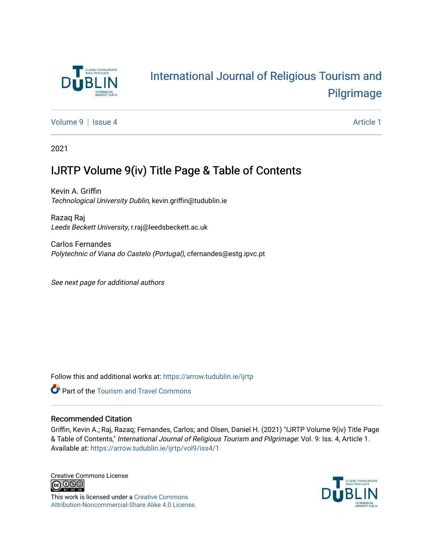

## [International Journal of Religious Tourism and](https://arrow.tudublin.ie/ijrtp)  [Pilgrimage](https://arrow.tudublin.ie/ijrtp)

[Volume 9](https://arrow.tudublin.ie/ijrtp/vol9) | [Issue 4](https://arrow.tudublin.ie/ijrtp/vol9/iss4) Article 1

2021

### IJRTP Volume 9(iv) Title Page & Table of Contents

Kevin A. Griffin Technological University Dublin, kevin.griffin@tudublin.ie

Razaq Raj Leeds Beckett University, r.raj@leedsbeckett.ac.uk

Carlos Fernandes Polytechnic of Viana do Castelo (Portugal), cfernandes@estg.ipvc.pt

See next page for additional authors

Follow this and additional works at: [https://arrow.tudublin.ie/ijrtp](https://arrow.tudublin.ie/ijrtp?utm_source=arrow.tudublin.ie%2Fijrtp%2Fvol9%2Fiss4%2F1&utm_medium=PDF&utm_campaign=PDFCoverPages)



#### Recommended Citation

Griffin, Kevin A.; Raj, Razaq; Fernandes, Carlos; and Olsen, Daniel H. (2021) "IJRTP Volume 9(iv) Title Page & Table of Contents," International Journal of Religious Tourism and Pilgrimage: Vol. 9: Iss. 4, Article 1. Available at: [https://arrow.tudublin.ie/ijrtp/vol9/iss4/1](https://arrow.tudublin.ie/ijrtp/vol9/iss4/1?utm_source=arrow.tudublin.ie%2Fijrtp%2Fvol9%2Fiss4%2F1&utm_medium=PDF&utm_campaign=PDFCoverPages)

Creative Commons License <u>@ 0®0</u>

This work is licensed under a [Creative Commons](https://creativecommons.org/licenses/by-nc-sa/4.0/) [Attribution-Noncommercial-Share Alike 4.0 License](https://creativecommons.org/licenses/by-nc-sa/4.0/).

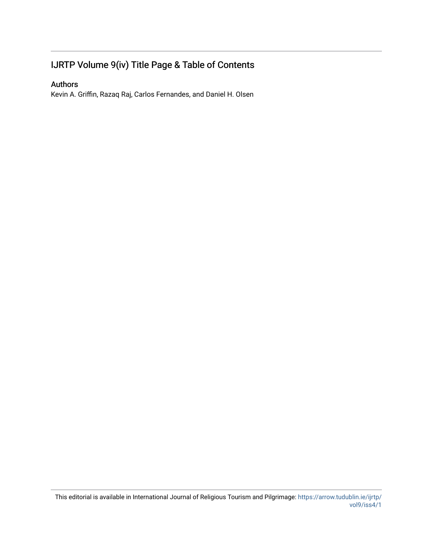### IJRTP Volume 9(iv) Title Page & Table of Contents

### Authors

Kevin A. Griffin, Razaq Raj, Carlos Fernandes, and Daniel H. Olsen

This editorial is available in International Journal of Religious Tourism and Pilgrimage: [https://arrow.tudublin.ie/ijrtp/](https://arrow.tudublin.ie/ijrtp/vol9/iss4/1) [vol9/iss4/1](https://arrow.tudublin.ie/ijrtp/vol9/iss4/1)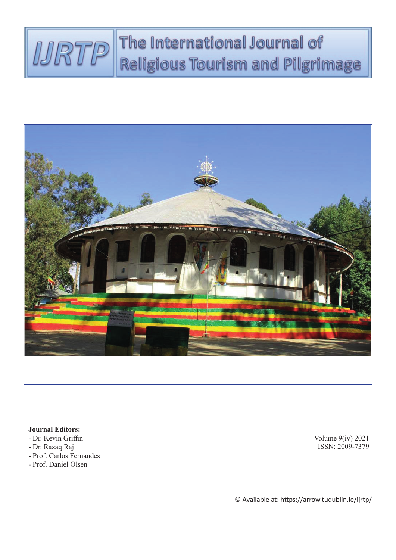## The International Journal of IJRTP Religious Tourism and Pilgrimage



**Journal Editors:**

- Dr. Kevin Griffin
- Dr. Razaq Raj
- Prof. Carlos Fernandes
- Prof. Daniel Olsen

Volume 9(iv) 2021 ISSN: 2009-7379

© Available at: https://arrow.tudublin.ie/ijrtp/